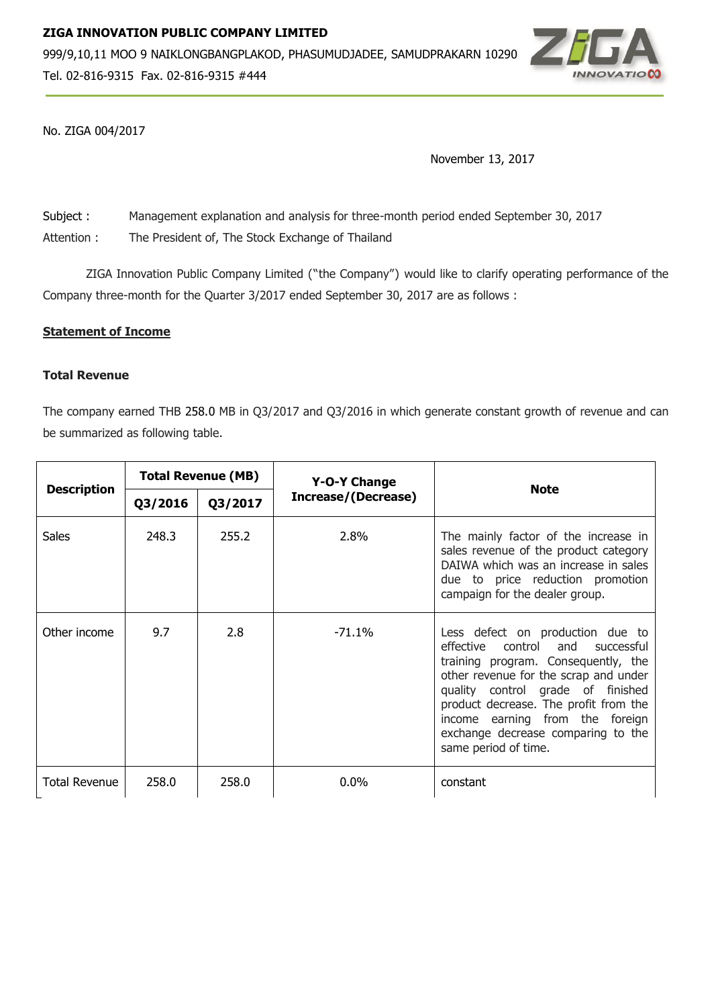

No. ZIGA 004/2017

November 13, 2017

Subject : Management explanation and analysis for three-month period ended September 30, 2017

Attention : The President of, The Stock Exchange of Thailand

ZIGA Innovation Public Company Limited ("the Company") would like to clarify operating performance of the Company three-month for the Quarter 3/2017 ended September 30, 2017 are as follows :

## **Statement of Income**

# **Total Revenue**

The company earned THB 258.0 MB in Q3/2017 and Q3/2016 in which generate constant growth of revenue and can be summarized as following table.

| <b>Description</b>   | <b>Total Revenue (MB)</b> |         | Y-O-Y Change        |                                                                                                                                                                                                                                                                                                                                              |  |
|----------------------|---------------------------|---------|---------------------|----------------------------------------------------------------------------------------------------------------------------------------------------------------------------------------------------------------------------------------------------------------------------------------------------------------------------------------------|--|
|                      | Q3/2016                   | Q3/2017 | Increase/(Decrease) | <b>Note</b>                                                                                                                                                                                                                                                                                                                                  |  |
| <b>Sales</b>         | 248.3                     | 255.2   | 2.8%                | The mainly factor of the increase in<br>sales revenue of the product category<br>DAIWA which was an increase in sales<br>due to price reduction promotion<br>campaign for the dealer group.                                                                                                                                                  |  |
| Other income         | 9.7                       | 2.8     | $-71.1\%$           | Less defect on production due to<br>and<br>effective<br>control<br>successful<br>training program. Consequently, the<br>other revenue for the scrap and under<br>quality control grade of finished<br>product decrease. The profit from the<br>income earning from the foreign<br>exchange decrease comparing to the<br>same period of time. |  |
| <b>Total Revenue</b> | 258.0                     | 258.0   | $0.0\%$             | constant                                                                                                                                                                                                                                                                                                                                     |  |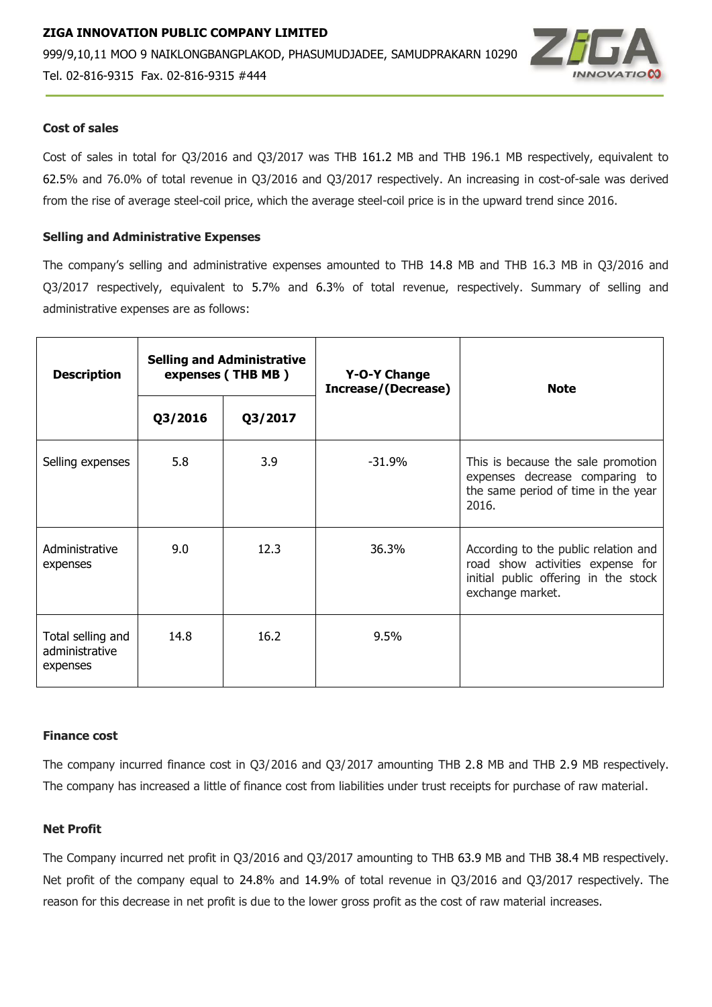

## **Cost of sales**

Cost of sales in total for Q3/2016 and Q3/2017 was THB 161.2 MB and THB 196.1 MB respectively, equivalent to 62.5% and 76.0% of total revenue in Q3/2016 and Q3/2017 respectively. An increasing in cost-of-sale was derived from the rise of average steel-coil price, which the average steel-coil price is in the upward trend since 2016.

## **Selling and Administrative Expenses**

The company's selling and administrative expenses amounted to THB 14.8 MB and THB 16.3 MB in Q3/2016 and Q3/2017 respectively, equivalent to 5.7% and 6.3% of total revenue, respectively. Summary of selling and administrative expenses are as follows:

| <b>Description</b>                              | <b>Selling and Administrative</b><br>expenses (THB MB) |         | Y-O-Y Change<br><b>Increase/(Decrease)</b> | <b>Note</b>                                                                                                                          |  |
|-------------------------------------------------|--------------------------------------------------------|---------|--------------------------------------------|--------------------------------------------------------------------------------------------------------------------------------------|--|
|                                                 | Q3/2016                                                | Q3/2017 |                                            |                                                                                                                                      |  |
| Selling expenses                                | 5.8                                                    | 3.9     | $-31.9%$                                   | This is because the sale promotion<br>expenses decrease comparing to<br>the same period of time in the year<br>2016.                 |  |
| Administrative<br>expenses                      | 9.0                                                    | 12.3    | 36.3%                                      | According to the public relation and<br>road show activities expense for<br>initial public offering in the stock<br>exchange market. |  |
| Total selling and<br>administrative<br>expenses | 14.8                                                   | 16.2    | 9.5%                                       |                                                                                                                                      |  |

### **Finance cost**

The company incurred finance cost in Q3/2016 and Q3/2017 amounting THB 2.8 MB and THB 2.9 MB respectively. The company has increased a little of finance cost from liabilities under trust receipts for purchase of raw material.

### **Net Profit**

The Company incurred net profit in Q3/2016 and Q3/2017 amounting to THB 63.9 MB and THB 38.4 MB respectively. Net profit of the company equal to 24.8% and 14.9% of total revenue in Q3/2016 and Q3/2017 respectively. The reason for this decrease in net profit is due to the lower gross profit as the cost of raw material increases.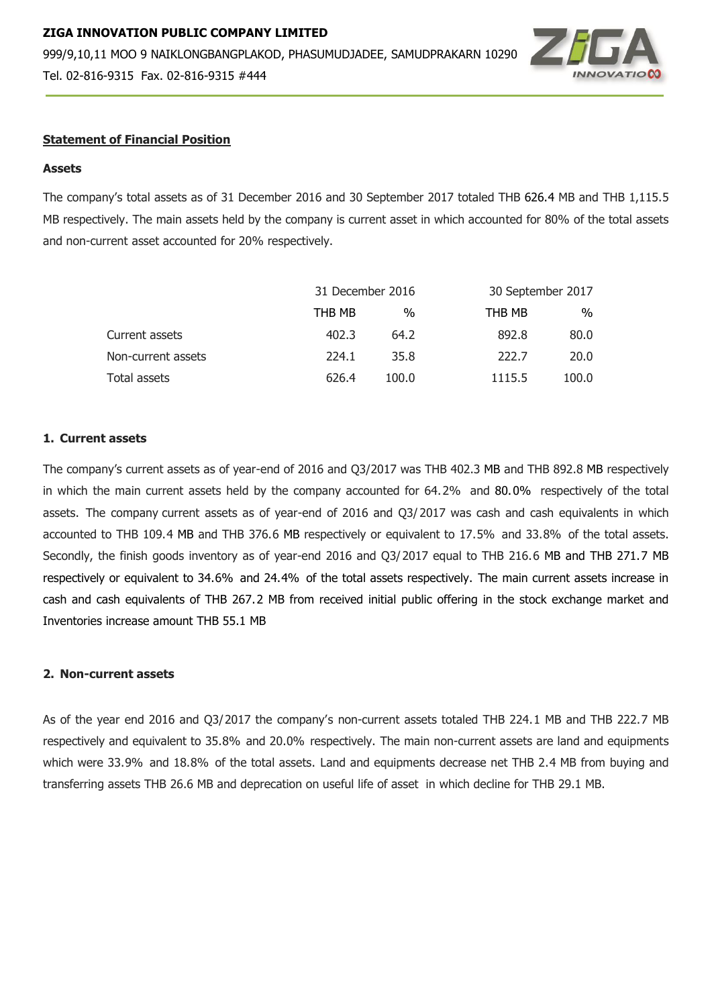# **ZIGA INNOVATION PUBLIC COMPANY LIMITED**  999/9,10,11 MOO 9 NAIKLONGBANGPLAKOD, PHASUMUDJADEE, SAMUDPRAKARN 10290



Tel. 02-816-9315 Fax. 02-816-9315 #444

## **Statement of Financial Position**

## **Assets**

The company's total assets as of 31 December 2016 and 30 September 2017 totaled THB 626.4 MB and THB 1,115.5 MB respectively. The main assets held by the company is current asset in which accounted for 80% of the total assets and non-current asset accounted for 20% respectively.

|                    |        | 31 December 2016 |        | 30 September 2017 |  |
|--------------------|--------|------------------|--------|-------------------|--|
|                    | THB MB | %                | THB MB | %                 |  |
| Current assets     | 402.3  | 64.2             | 892.8  | 80.0              |  |
| Non-current assets | 224.1  | 35.8             | 222.7  | 20.0              |  |
| Total assets       | 626.4  | 100.0            | 1115.5 | 100.0             |  |

### **1. Current assets**

The company's current assets as of year-end of 2016 and Q3/2017 was THB 402.3 MB and THB 892.8 MB respectively in which the main current assets held by the company accounted for 64.2% and 80.0% respectively of the total assets. The company current assets as of year-end of 2016 and Q3/ 2017 was cash and cash equivalents in which accounted to THB 109.4 MB and THB 376.6 MB respectively or equivalent to 17.5% and 33.8% of the total assets. Secondly, the finish goods inventory as of year-end 2016 and Q3/2017 equal to THB 216.6 MB and THB 271.7 MB respectively or equivalent to 34.6% and 24.4% of the total assets respectively. The main current assets increase in cash and cash equivalents of THB 267.2 MB from received initial public offering in the stock exchange market and Inventories increase amount THB 55.1 MB

## **2. Non-current assets**

As of the year end 2016 and Q3/2017 the company's non-current assets totaled THB 224.1 MB and THB 222.7 MB respectively and equivalent to 35.8% and 20.0% respectively. The main non-current assets are land and equipments which were 33.9% and 18.8% of the total assets. Land and equipments decrease net THB 2.4 MB from buying and transferring assets THB 26.6 MB and deprecation on useful life of asset in which decline for THB 29.1 MB.